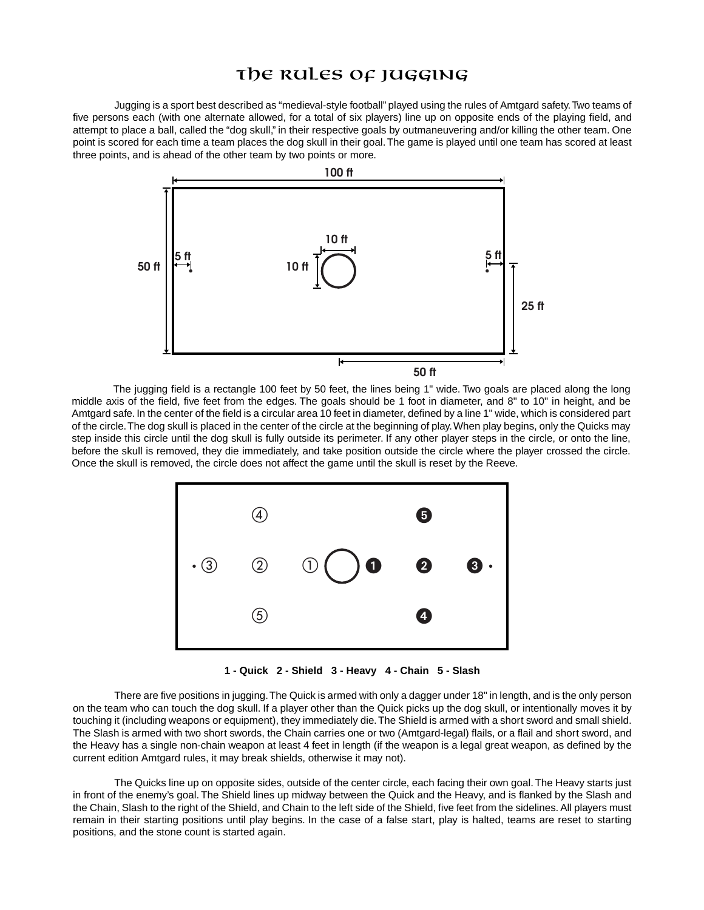## The RULES OF JUGGING

Jugging is a sport best described as "medieval-style football" played using the rules of Amtgard safety.Two teams of five persons each (with one alternate allowed, for a total of six players) line up on opposite ends of the playing field, and attempt to place a ball, called the "dog skull," in their respective goals by outmaneuvering and/or killing the other team. One point is scored for each time a team places the dog skull in their goal.The game is played until one team has scored at least three points, and is ahead of the other team by two points or more.



The jugging field is a rectangle 100 feet by 50 feet, the lines being 1" wide. Two goals are placed along the long middle axis of the field, five feet from the edges. The goals should be 1 foot in diameter, and 8" to 10" in height, and be Amtgard safe. In the center of the field is a circular area 10 feet in diameter, defined by a line 1" wide, which is considered part of the circle.The dog skull is placed in the center of the circle at the beginning of play.When play begins, only the Quicks may step inside this circle until the dog skull is fully outside its perimeter. If any other player steps in the circle, or onto the line, before the skull is removed, they die immediately, and take position outside the circle where the player crossed the circle. Once the skull is removed, the circle does not affect the game until the skull is reset by the Reeve.



**1 - Quick 2 - Shield 3 - Heavy 4 - Chain 5 - Slash**

There are five positions in jugging.The Quick is armed with only a dagger under 18" in length, and is the only person on the team who can touch the dog skull. If a player other than the Quick picks up the dog skull, or intentionally moves it by touching it (including weapons or equipment), they immediately die.The Shield is armed with a short sword and small shield. The Slash is armed with two short swords, the Chain carries one or two (Amtgard-legal) flails, or a flail and short sword, and the Heavy has a single non-chain weapon at least 4 feet in length (if the weapon is a legal great weapon, as defined by the current edition Amtgard rules, it may break shields, otherwise it may not).

The Quicks line up on opposite sides, outside of the center circle, each facing their own goal.The Heavy starts just in front of the enemy's goal. The Shield lines up midway between the Quick and the Heavy, and is flanked by the Slash and the Chain, Slash to the right of the Shield, and Chain to the left side of the Shield, five feet from the sidelines. All players must remain in their starting positions until play begins. In the case of a false start, play is halted, teams are reset to starting positions, and the stone count is started again.